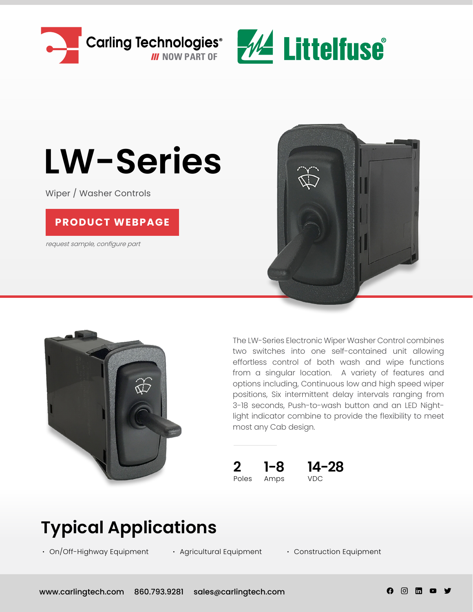



# **LW-Series**

Wiper / Washer Controls

#### **[PRODUCT WEBPAGE](https://www.carlingtech.com/controls-lw-series)**

request sample, configure part





The LW-Series Electronic Wiper Washer Control combines two switches into one self-contained unit allowing effortless control of both wash and wipe functions from a singular location. A variety of features and options including, Continuous low and high speed wiper positions, Six intermittent delay intervals ranging from 3-18 seconds, Push-to-wash button and an LED Nightlight indicator combine to provide the flexibility to meet most any Cab design.



### **Typical Applications**

**∙** On/Off-Highway Equipment **∙** Agricultural Equipment **∙** Construction Equipment

A - ල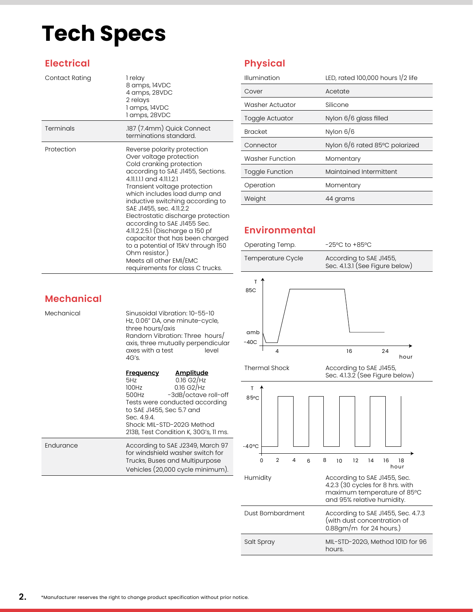### **Tech Specs**

#### **Electrical**

| Contact Rating | 1 relay<br>8 amps, 14VDC<br>4 amps, 28VDC<br>2 relays<br>1 amps, 14VDC<br>1 amps, 28VDC                                                                                                                                                                                                                                                                                                                                                                                                                                                         |
|----------------|-------------------------------------------------------------------------------------------------------------------------------------------------------------------------------------------------------------------------------------------------------------------------------------------------------------------------------------------------------------------------------------------------------------------------------------------------------------------------------------------------------------------------------------------------|
| Terminals      | .187 (7.4mm) Quick Connect<br>terminations standard.                                                                                                                                                                                                                                                                                                                                                                                                                                                                                            |
| Protection     | Reverse polarity protection<br>Over voltage protection<br>Cold cranking protection<br>according to SAE J1455, Sections.<br>411111 and 411121<br>Transient voltage protection<br>which includes load dump and<br>inductive switching according to<br>SAE J1455, sec. 4.11.2.2<br>Electrostatic discharge protection<br>according to SAE J1455 Sec.<br>4.11.2.2.5.1 (Discharge a 150 pf<br>capacitor that has been charged<br>to a potential of 15kV through 150<br>Ohm resistor.)<br>Meets all other EMI/EMC<br>requirements for class C trucks. |

#### **Physical**

| Illumination           | LED, rated 100,000 hours 1/2 life |
|------------------------|-----------------------------------|
| Cover                  | Acetate                           |
| Washer Actuator        | Silicone                          |
| Toggle Actuator        | Nylon 6/6 glass filled            |
| <b>Bracket</b>         | Nylon $6/6$                       |
| Connector              | Nylon 6/6 rated 85°C polarized    |
| <b>Washer Function</b> | Momentary                         |
| <b>Toggle Function</b> | Maintained Intermittent           |
| Operation              | Momentary                         |
| Weight                 | 44 grams                          |

#### **Environmental**

| Operating Temp.               | $-25^{\circ}$ C to $+85^{\circ}$ C                         |  |  |  |  |  |  |  |
|-------------------------------|------------------------------------------------------------|--|--|--|--|--|--|--|
| Temperature Cycle             | According to SAE J1455,<br>Sec. 4.1.3.1 (See Figure below) |  |  |  |  |  |  |  |
| т<br>85C<br>amb<br>$-40C$     |                                                            |  |  |  |  |  |  |  |
| 4                             | 16<br>24<br>hour                                           |  |  |  |  |  |  |  |
| <b>Thermal Shock</b>          | According to SAE J1455,<br>Sec. 4.1.3.2 (See Figure below) |  |  |  |  |  |  |  |
| T<br>85°C<br>$-40^{\circ}$ C  |                                                            |  |  |  |  |  |  |  |
| $\overline{2}$<br>4<br>0<br>6 | 8<br>12<br>14<br>16<br>18<br>10<br>hour                    |  |  |  |  |  |  |  |

| $-40^{\circ}$ C |  |   |                            |    |    |                                                                                                 |  |
|-----------------|--|---|----------------------------|----|----|-------------------------------------------------------------------------------------------------|--|
| O               |  | 6 | 8 10 12                    | 14 | 16 | 18<br>hour                                                                                      |  |
| Humidity        |  |   | and 95% relative humidity. |    |    | According to SAE J1455, Sec.<br>4.2.3 (30 cycles for 8 hrs. with<br>maximum temperature of 85°C |  |

| Dust Bombardment | According to SAE J1455, Sec. 4.7.3<br>(with dust concentration of<br>$0.88$ gm/m for 24 hours.) |
|------------------|-------------------------------------------------------------------------------------------------|
| Salt Spray       | MIL-STD-202G, Method 101D for 96<br>hours.                                                      |

#### **Mechanical**

| Mechanical | Sinusoidal Vibration: 10-55-10<br>Hz, 0.06" DA, one minute-cycle,<br>three hours/axis<br>Random Vibration: Three hours/<br>axis, three mutually perpendicular<br>axes with a test<br>level<br>4G's.                                                                        |  |
|------------|----------------------------------------------------------------------------------------------------------------------------------------------------------------------------------------------------------------------------------------------------------------------------|--|
|            | <u>Amplitude</u><br><b>Frequency</b><br>$0.16$ G2/Hz<br>5Hz<br>$0.16$ G2/Hz<br>100Hz<br>-3dB/octave roll-off<br>500Hz<br>Tests were conducted according<br>to SAE J1455, Sec 5.7 and<br>Sec. 4.9.4.<br>Shock: MIL-STD-202G Method<br>213B, Test Condition K, 30G's, 11 ms. |  |
| Endurance  | According to SAE J2349, March 97<br>for windshield washer switch for<br>Trucks, Buses and Multipurpose<br>Vehicles (20,000 cycle minimum).                                                                                                                                 |  |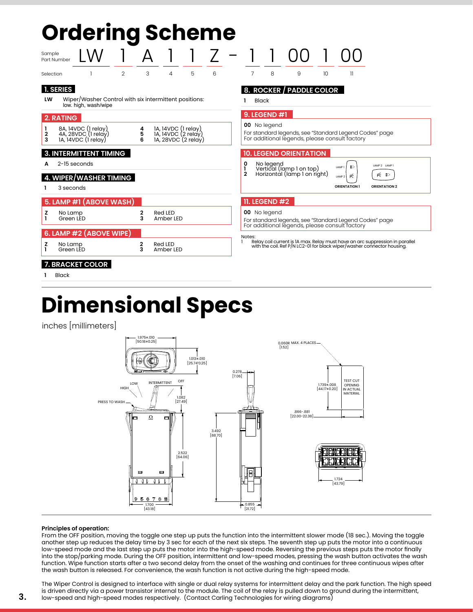## **Ordering Scheme**

| Sample    | Part Number          |                                                                               |                |               |                                                                   |   |   |        |                      |                                                          |    |                                                                                                          |                                                                                                                                                         |  |
|-----------|----------------------|-------------------------------------------------------------------------------|----------------|---------------|-------------------------------------------------------------------|---|---|--------|----------------------|----------------------------------------------------------|----|----------------------------------------------------------------------------------------------------------|---------------------------------------------------------------------------------------------------------------------------------------------------------|--|
| Selection |                      |                                                                               | $\overline{2}$ | 3             | 4                                                                 | 5 | 6 | 7      | 8                    | 9                                                        | 10 | $\mathbf{1}$                                                                                             |                                                                                                                                                         |  |
| LW        | <b>1. SERIES</b>     | Wiper/Washer Control with six intermittent positions:<br>low. high, wash/wipe |                |               |                                                                   |   |   |        | <b>Black</b>         | 8. ROCKER / PADDLE COLOR                                 |    |                                                                                                          |                                                                                                                                                         |  |
|           | 2. RATING            |                                                                               |                |               |                                                                   |   |   |        | 9. LEGEND #1         |                                                          |    |                                                                                                          |                                                                                                                                                         |  |
| 2<br>3    |                      | 8A, 14VDC (1 relay)<br>4A, 28VDC (1 relay)<br>1A, 14VDC (1 relay)             |                | 4<br>5<br>6   | 1A, 14VDC (1 relay)<br>14, 14VDC (2 relay)<br>14, 28VDC (2 relay) |   |   |        | 00 No legend         |                                                          |    | For standard legends, see "Standard Legend Codes" page<br>For additional legends, please consult factory |                                                                                                                                                         |  |
|           |                      | <b>3. INTERMITTENT TIMING</b>                                                 |                |               |                                                                   |   |   |        |                      | <b>10. LEGEND ORIENTATION</b>                            |    |                                                                                                          |                                                                                                                                                         |  |
| А         | $2-15$ seconds       |                                                                               |                |               |                                                                   |   |   | 0<br>2 | No legend            | Vertical (lamp 1 on top)<br>Horizontal (lamp 1 on right) |    | ΞD<br>LAMP <sub>1</sub>                                                                                  | LAMP 2 LAMP 1<br>p∈ ≣D                                                                                                                                  |  |
|           | 3 seconds            | <b>4. WIPER/WASHER TIMING</b>                                                 |                |               |                                                                   |   |   |        |                      |                                                          |    | Ŕ<br>LAMP <sub>2</sub><br><b>ORIENTATION 1</b>                                                           | <b>ORIENTATION 2</b>                                                                                                                                    |  |
|           |                      | 5. LAMP #1 (ABOVE WASH)                                                       |                |               |                                                                   |   |   |        | <b>11. LEGEND #2</b> |                                                          |    |                                                                                                          |                                                                                                                                                         |  |
| z         | No Lamp<br>Green LED |                                                                               |                | $\frac{2}{3}$ | Red LED<br>Amber LED                                              |   |   |        | 00 No legend         |                                                          |    | For standard legends, see "Standard Legend Codes" page<br>For additional legends, please consult factory |                                                                                                                                                         |  |
|           |                      | 6. LAMP #2 (ABOVE WIPE)                                                       |                |               |                                                                   |   |   | Notes: |                      |                                                          |    |                                                                                                          |                                                                                                                                                         |  |
| z<br>ı    | No Lamp<br>Green LED |                                                                               |                | 2<br>3        | Red LED<br>Amber LED                                              |   |   |        |                      |                                                          |    |                                                                                                          | Relay coil current is 1A max. Relay must have an arc suppression in parallel<br>with the coil. Ref P/N LC2-01 for black wiper/washer connector housing. |  |
|           |                      | 7. BRACKET COLOR                                                              |                |               |                                                                   |   |   |        |                      |                                                          |    |                                                                                                          |                                                                                                                                                         |  |
|           | <b>Black</b>         |                                                                               |                |               |                                                                   |   |   |        |                      |                                                          |    |                                                                                                          |                                                                                                                                                         |  |

### **Dimensional Specs**

inches [millimeters]



#### **Principles of operation:**

**3.**

From the OFF position, moving the toggle one step up puts the function into the intermittent slower mode (18 sec.). Moving the toggle another step up reduces the delay time by 3 sec for each of the next six steps. The seventh step up puts the motor into a continuous low-speed mode and the last step up puts the motor into the high-speed mode. Reversing the previous steps puts the motor finally into the stop/parking mode. During the OFF position, intermittent and low-speed modes, pressing the wash button activates the wash function. Wipe function starts after a two second delay from the onset of the washing and continues for three continuous wipes after the wash button is released. For convenience, the wash function is not active during the high-speed mode.

The Wiper Control is designed to interface with single or dual relay systems for intermittent delay and the park function. The high speed is driven directly via a power transistor internal to the module. The coil of the relay is pulled down to ground during the intermittent, low-speed and high-speed modes respectively. (Contact Carling Technologies for wiring diagrams)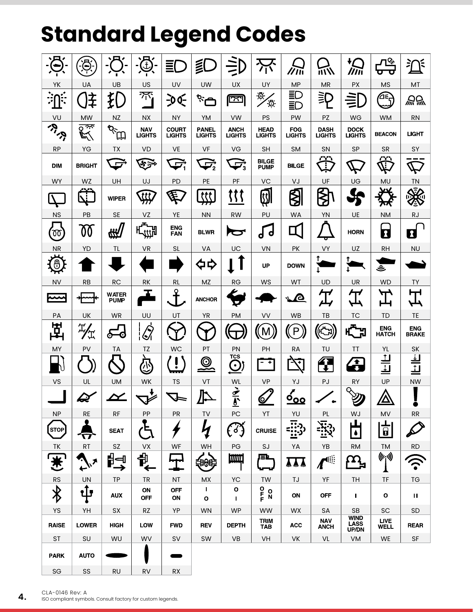### **Standard Legend Codes**

| ▬                         | ව                  |                             | 芯                           | Ξ                             | 員                                               | $\equiv$                      |                                  | クバ                          | 而八                              | セ<br>///ii                                  | <u>л&amp;</u><br>ᡉ                                                                 | )໌<br>₹                                          |
|---------------------------|--------------------|-----------------------------|-----------------------------|-------------------------------|-------------------------------------------------|-------------------------------|----------------------------------|-----------------------------|---------------------------------|---------------------------------------------|------------------------------------------------------------------------------------|--------------------------------------------------|
| YK                        | <b>UA</b>          | UB                          | US                          | UV                            | <b>UW</b>                                       | UX                            | UY                               | <b>MP</b>                   | <b>MR</b>                       | PX                                          | <b>MS</b>                                                                          | MT                                               |
| ⊫≖<br>۰.                  | ≨                  | } <br>}                     | $\pi$                       | $-00$                         | صِين                                            | <u>لندا</u>                   | Ð,<br>`ق`                        | 三〇<br>三                     | ミ                               |                                             | ∕∱⊉                                                                                | 溫暖                                               |
| VU                        | <b>MW</b>          | <b>NZ</b>                   | NX.                         | <b>NY</b>                     | <b>YM</b>                                       | VW                            | PS                               | PW                          | PZ                              | WG                                          | <b>WM</b>                                                                          | <b>RN</b>                                        |
| <b>RICK</b>               | ঢ়ক<br>以           | <b>PARTIES</b>              | <b>NAV</b><br><b>LIGHTS</b> | <b>COURT</b><br><b>LIGHTS</b> | <b>PANEL</b><br><b>LIGHTS</b>                   | <b>ANCH</b><br><b>LIGHTS</b>  | <b>HEAD</b><br><b>LIGHTS</b>     | <b>FOG</b><br><b>LIGHTS</b> | <b>DASH</b><br><b>LIGHTS</b>    | <b>DOCK</b><br><b>LIGHTS</b>                | <b>BEACON</b>                                                                      | LIGHT                                            |
| <b>RP</b>                 | YG                 | TX                          | VD                          | VE                            | VF                                              | VG                            | <b>SH</b>                        | <b>SM</b>                   | SN                              | SP                                          | <b>SR</b>                                                                          | SY                                               |
| <b>DIM</b>                | <b>BRIGHT</b>      | پ                           | ৼ৽                          | نگ                            | $\overline{\mathcal{L}_2}$                      | $\overrightarrow{v_3}$        | <b>BILGE</b><br><b>PUMP</b>      | <b>BILGE</b>                | r 20<br>T                       |                                             | œ<br>$\mathcal{I}$                                                                 |                                                  |
| <b>WY</b>                 | <b>WZ</b>          | UH                          | UJ                          | <b>PD</b>                     | PE                                              | PF                            | VC                               | VJ                          | UF                              | UG                                          | <b>MU</b>                                                                          | <b>TN</b>                                        |
|                           | ,,,,               | <b>WIPER</b>                | ttt                         | 匡                             | ttt                                             | {{{                           | <b>EX</b>                        | ₿                           | <b><br/>∕</b>                   |                                             | w                                                                                  |                                                  |
| <b>NS</b>                 | PB                 | <b>SE</b>                   | VZ                          | YE                            | <b>NN</b>                                       | <b>RW</b>                     | PU                               | <b>WA</b>                   | YN                              | UE                                          | <b>NM</b>                                                                          | <b>RJ</b>                                        |
| $\infty$                  | 00                 |                             | <b>Н<sub>-111</sub></b>     | <b>ENG</b><br><b>FAN</b>      | <b>BLWR</b>                                     | $\bullet$                     | d                                |                             | ਹ                               | <b>HORN</b>                                 | $\overline{\mathbf{z}}$                                                            | 1                                                |
| <b>NR</b>                 | YD                 | TL                          | VR                          | SL                            | VA                                              | UC                            | <b>VN</b>                        | PK                          | VY                              | UZ                                          | <b>RH</b>                                                                          | <b>NU</b>                                        |
| டு                        |                    |                             |                             |                               | $\overline{D}$                                  |                               | UP                               | <b>DOWN</b>                 | T                               |                                             | ڦ                                                                                  |                                                  |
| <b>NV</b>                 | <b>RB</b>          | <b>RC</b>                   | <b>RK</b>                   | RL                            | MZ                                              | <b>RG</b>                     | WS                               | WT                          | UD                              | UR                                          | <b>WD</b>                                                                          | <b>TY</b>                                        |
| مممم                      |                    | <b>WATER</b><br><b>PUMP</b> |                             | Ϙ<br>$\mathsf T$              | <b>ANCHOR</b>                                   | Q                             |                                  | <b>P</b>                    |                                 |                                             |                                                                                    |                                                  |
| PA                        | UK                 | <b>WR</b>                   | UU                          | UT                            | <b>YR</b>                                       | <b>PM</b>                     | VV                               | <b>WB</b>                   | TB                              | TC                                          | <b>TD</b>                                                                          | TE                                               |
| 헢                         | "工                 | ю<br>⊙                      | $\mathcal{Q}$               | Y                             |                                                 |                               | $\mathsf{M}% _{0}$               | $\overline{P}$              | $\mathbf{F}$                    | <b>CH</b>                                   | <b>ENG</b><br><b>HATCH</b>                                                         | <b>ENG</b><br><b>BRAKE</b>                       |
| MY                        | PV                 | TA                          | TΖ                          | <b>WC</b>                     | PT                                              | PN                            | PH                               | <b>RA</b>                   | TU                              | ΤT                                          | YL                                                                                 | <b>SK</b>                                        |
|                           |                    |                             | $\mathbb{Q}$                | í                             | $\bm{\mathord{\odot}}$<br>$\tilde{\phantom{a}}$ | <b>TCS</b><br>$\bf{C}$        | ۰<br>۰                           | $\overline{\mathbf{v}^*}$   | 4<br>$\ddot{\phantom{1}}$       | $\blacktriangle$<br>$\overline{\mathbf{v}}$ |                                                                                    |                                                  |
| VS                        | UL                 | <b>UM</b>                   | WK                          | <b>TS</b>                     | VT                                              | WL                            | <b>VP</b>                        | YJ                          | PJ                              | <b>RY</b>                                   | UP                                                                                 | <b>NW</b>                                        |
|                           | ה י<br>≂           |                             | ╰┸                          |                               | Ռ<br><u>д</u>                                   | <u>રે</u><br>$\sum_{i=1}^{n}$ | <u>ୋ</u>                         | O,<br><u>- vv</u>           | $\bullet$                       | O<br>V                                      | $\mathbb A$                                                                        | $\ddot{\bullet}$                                 |
| <b>NP</b>                 | <b>RE</b>          | <b>RF</b>                   | PP                          | PR                            | TV                                              | PC                            | YT                               | YU                          | PL                              | WJ                                          | MV                                                                                 | ${\sf RR}$                                       |
| <b>STOP</b>               | П                  | <b>SEAT</b>                 | с                           |                               | k                                               | િંગુ                          | <b>CRUISE</b>                    | $\overline{\cdots}$         | $\bar{\mathbf{x}}$ ว<br><u></u> | ulu,<br>$\bullet$                           | $\frac{1}{\mathbf{g}}$                                                             |                                                  |
| TK                        | <b>RT</b>          | SZ                          | VX                          | WF                            | WH                                              | PG                            | SJ                               | YA                          | YB                              | <b>RM</b>                                   | TM                                                                                 | RD                                               |
| 业                         | $\mathbf{x}_h$     | βਚੰ<br>$\rightarrow$        | 1<br>$\leftarrow$           | ┯┯                            | 争時                                              | ҃҃҃                           | <u>er</u>                        | ѦѦѦ                         | rl∷                             |                                             | $\big(\!\!\big(\!\!\big(\!\!\big(\!\!\big(c_i\!\!\big)\!\!\big)\!\!\big)\!\!\big)$ |                                                  |
| <b>RS</b>                 | <b>UN</b>          | TP                          | <b>TR</b>                   | NT                            | MX                                              | YC                            | TW                               | TJ                          | YF                              | TH                                          | TF                                                                                 | <b>TG</b>                                        |
| $\bigtriangledown$        | ъÎт                | <b>AUX</b>                  | ON<br><b>OFF</b>            | <b>OFF</b><br>ON              | $\mathbf{I}$<br>O                               | O<br>$\mathbf I$              | $P_{F}^{O}$<br>$\mathbf{o}$<br>Ñ | ON                          | <b>OFF</b>                      | $\mathbf{I}$                                | O                                                                                  | $\mathbf{H}$                                     |
| YS                        | YH                 | SX                          | <b>RZ</b>                   | YP                            | <b>WN</b>                                       | <b>WP</b>                     | <b>WW</b>                        | <b>WX</b>                   | <b>SA</b>                       | SB<br><b>WIND</b>                           | SC                                                                                 | SD                                               |
| <b>RAISE</b><br><b>ST</b> | <b>LOWER</b><br>SU | <b>HIGH</b><br>WU           | <b>LOW</b><br>WV            | <b>FWD</b><br>SV              | <b>REV</b><br>SW                                | <b>DEPTH</b><br>VB            | TRIM<br>TAB<br>VH                | <b>ACC</b><br>VK            | <b>NAV</b><br>ANCH<br>VL        | <b>LASS</b><br>UP/DN                        | <b>LIVE</b><br>WELL                                                                | <b>REAR</b><br>$\ensuremath{\mathsf{SF}}\xspace$ |
| <b>PARK</b>               | <b>AUTO</b>        |                             |                             |                               |                                                 |                               |                                  |                             |                                 | VM                                          | WE                                                                                 |                                                  |
| SG                        | SS                 | <b>RU</b>                   | <b>RV</b>                   | <b>RX</b>                     |                                                 |                               |                                  |                             |                                 |                                             |                                                                                    |                                                  |